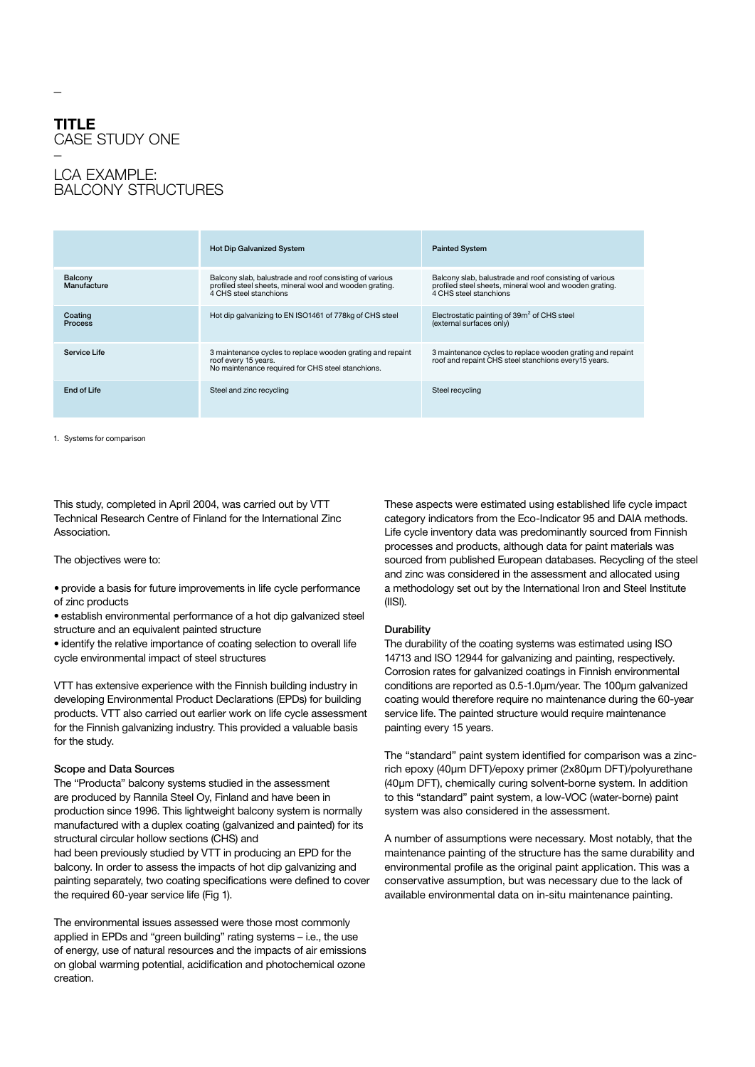# **TITLE**  CASE STUDY ONE

## **LCA EXAMPLE:** Balcony structures

|                           | <b>Hot Dip Galvanized System</b>                                                                                                             | <b>Painted System</b>                                                                                                                        |
|---------------------------|----------------------------------------------------------------------------------------------------------------------------------------------|----------------------------------------------------------------------------------------------------------------------------------------------|
| Balcony<br>Manufacture    | Balcony slab, balustrade and roof consisting of various<br>profiled steel sheets, mineral wool and wooden grating.<br>4 CHS steel stanchions | Balcony slab, balustrade and roof consisting of various<br>profiled steel sheets, mineral wool and wooden grating.<br>4 CHS steel stanchions |
| Coating<br><b>Process</b> | Hot dip galvanizing to EN ISO1461 of 778kg of CHS steel                                                                                      | Electrostatic painting of 39m <sup>2</sup> of CHS steel<br>(external surfaces only)                                                          |
| Service Life              | 3 maintenance cycles to replace wooden grating and repaint<br>roof every 15 years.<br>No maintenance required for CHS steel stanchions.      | 3 maintenance cycles to replace wooden grating and repaint<br>roof and repaint CHS steel stanchions every15 years.                           |
| End of Life               | Steel and zinc recycling                                                                                                                     | Steel recycling                                                                                                                              |

1. Systems for comparison

This study, completed in April 2004, was carried out by VTT Technical Research Centre of Finland for the International Zinc Association.

The objectives were to:

• provide a basis for future improvements in life cycle performance of zinc products

• establish environmental performance of a hot dip galvanized steel structure and an equivalent painted structure

• identify the relative importance of coating selection to overall life cycle environmental impact of steel structures

VTT has extensive experience with the Finnish building industry in developing Environmental Product Declarations (EPDs) for building products. VTT also carried out earlier work on life cycle assessment for the Finnish galvanizing industry. This provided a valuable basis for the study.

#### Scope and Data Sources

The "Producta" balcony systems studied in the assessment are produced by Rannila Steel Oy, Finland and have been in production since 1996. This lightweight balcony system is normally manufactured with a duplex coating (galvanized and painted) for its structural circular hollow sections (CHS) and

had been previously studied by VTT in producing an EPD for the balcony. In order to assess the impacts of hot dip galvanizing and painting separately, two coating specifications were defined to cover the required 60-year service life (Fig 1).

The environmental issues assessed were those most commonly applied in EPDs and "green building" rating systems – i.e., the use of energy, use of natural resources and the impacts of air emissions on global warming potential, acidification and photochemical ozone creation.

These aspects were estimated using established life cycle impact category indicators from the Eco-Indicator 95 and DAIA methods. Life cycle inventory data was predominantly sourced from Finnish processes and products, although data for paint materials was sourced from published European databases. Recycling of the steel and zinc was considered in the assessment and allocated using a methodology set out by the International Iron and Steel Institute (IISI).

#### **Durability**

The durability of the coating systems was estimated using ISO 14713 and ISO 12944 for galvanizing and painting, respectively. Corrosion rates for galvanized coatings in Finnish environmental conditions are reported as 0.5-1.0µm/year. The 100µm galvanized coating would therefore require no maintenance during the 60-year service life. The painted structure would require maintenance painting every 15 years.

The "standard" paint system identified for comparison was a zincrich epoxy (40µm DFT)/epoxy primer (2x80µm DFT)/polyurethane (40µm DFT), chemically curing solvent-borne system. In addition to this "standard" paint system, a low-VOC (water-borne) paint system was also considered in the assessment.

A number of assumptions were necessary. Most notably, that the maintenance painting of the structure has the same durability and environmental profile as the original paint application. This was a conservative assumption, but was necessary due to the lack of available environmental data on in-situ maintenance painting.